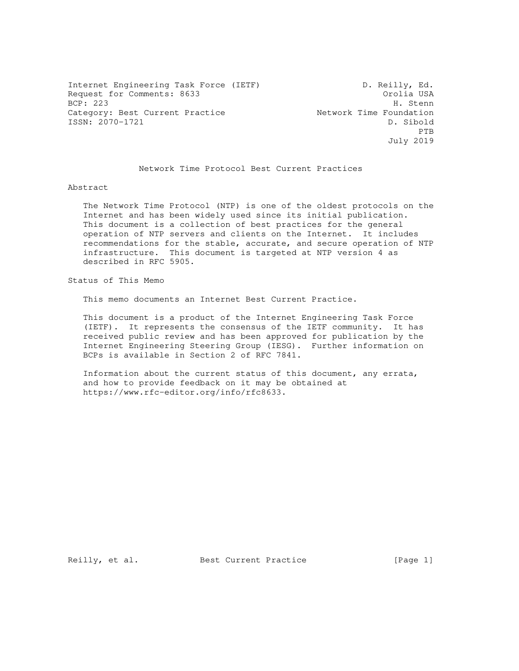Internet Engineering Task Force (IETF) D. Reilly, Ed. Request for Comments: 8633 **Cromatical USA** Orolia USA BCP: 223 H. Stenn Category: Best Current Practice Network Time Foundation ISSN: 2070-1721 D. Sibold **PTB** July 2019

## Network Time Protocol Best Current Practices

#### Abstract

 The Network Time Protocol (NTP) is one of the oldest protocols on the Internet and has been widely used since its initial publication. This document is a collection of best practices for the general operation of NTP servers and clients on the Internet. It includes recommendations for the stable, accurate, and secure operation of NTP infrastructure. This document is targeted at NTP version 4 as described in RFC 5905.

Status of This Memo

This memo documents an Internet Best Current Practice.

 This document is a product of the Internet Engineering Task Force (IETF). It represents the consensus of the IETF community. It has received public review and has been approved for publication by the Internet Engineering Steering Group (IESG). Further information on BCPs is available in Section 2 of RFC 7841.

 Information about the current status of this document, any errata, and how to provide feedback on it may be obtained at https://www.rfc-editor.org/info/rfc8633.

Reilly, et al. Best Current Practice [Page 1]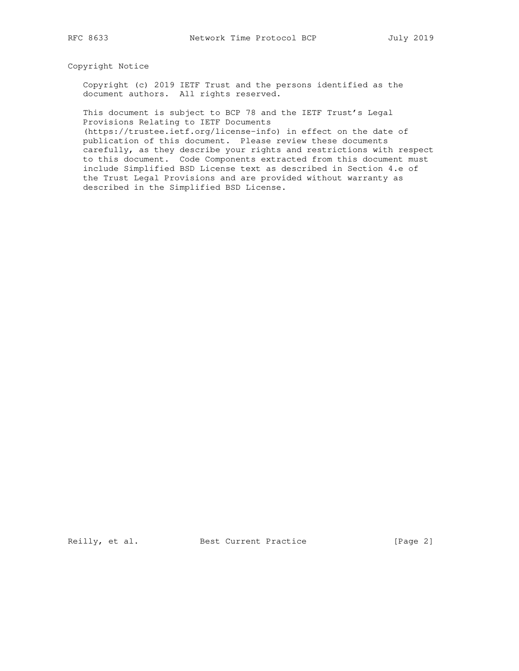# Copyright Notice

 Copyright (c) 2019 IETF Trust and the persons identified as the document authors. All rights reserved.

 This document is subject to BCP 78 and the IETF Trust's Legal Provisions Relating to IETF Documents

 (https://trustee.ietf.org/license-info) in effect on the date of publication of this document. Please review these documents carefully, as they describe your rights and restrictions with respect to this document. Code Components extracted from this document must include Simplified BSD License text as described in Section 4.e of the Trust Legal Provisions and are provided without warranty as described in the Simplified BSD License.

Reilly, et al. Best Current Practice [Page 2]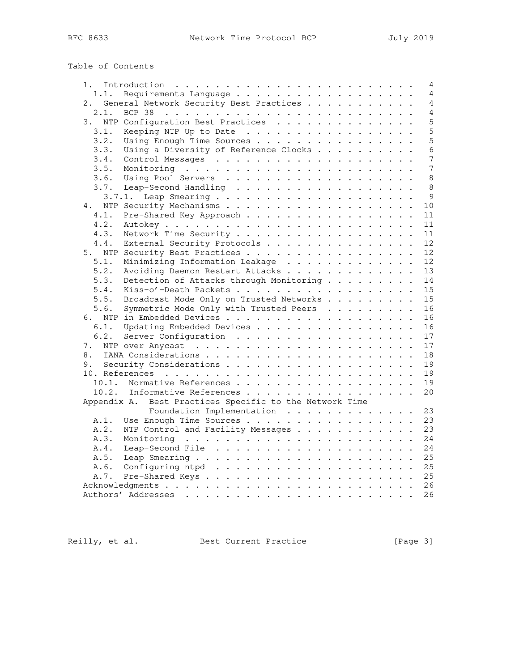| Table of Contents |  |
|-------------------|--|
|-------------------|--|

| Introduction $\ldots \ldots \ldots \ldots \ldots \ldots \ldots \ldots$<br>1. . |  |  |  |  | $\overline{4}$ |
|--------------------------------------------------------------------------------|--|--|--|--|----------------|
| Requirements Language<br>1.1.                                                  |  |  |  |  | $\overline{4}$ |
| 2. General Network Security Best Practices                                     |  |  |  |  | 4              |
| 2.1.                                                                           |  |  |  |  | 4              |
| NTP Configuration Best Practices<br>3.                                         |  |  |  |  | 5              |
| 3.1.<br>Keeping NTP Up to Date                                                 |  |  |  |  | 5              |
| 3.2.<br>Using Enough Time Sources                                              |  |  |  |  | 5              |
| 3.3.<br>Using a Diversity of Reference Clocks                                  |  |  |  |  | 6              |
| 3.4.                                                                           |  |  |  |  | $\overline{7}$ |
| 3.5.                                                                           |  |  |  |  | 7              |
| 3.6.                                                                           |  |  |  |  | 8              |
| 3.7.<br>Leap-Second Handling                                                   |  |  |  |  | 8              |
| 3.7.1.                                                                         |  |  |  |  | 9              |
| 4.                                                                             |  |  |  |  | 10             |
| Pre-Shared Key Approach<br>4.1.                                                |  |  |  |  | 11             |
| 4.2.                                                                           |  |  |  |  | 11             |
| 4.3.<br>Network Time Security                                                  |  |  |  |  | 11             |
| External Security Protocols<br>4.4.                                            |  |  |  |  | 12             |
| NTP Security Best Practices<br>5.                                              |  |  |  |  | 12             |
| Minimizing Information Leakage<br>5.1.                                         |  |  |  |  | 12             |
| 5.2.<br>Avoiding Daemon Restart Attacks                                        |  |  |  |  | 13             |
| 5.3.<br>Detection of Attacks through Monitoring                                |  |  |  |  | 14             |
| 5.4.<br>Kiss-o'-Death Packets                                                  |  |  |  |  | 15             |
| 5.5.<br>Broadcast Mode Only on Trusted Networks                                |  |  |  |  | 15             |
| 5.6.<br>Symmetric Mode Only with Trusted Peers                                 |  |  |  |  | 16             |
|                                                                                |  |  |  |  | 16             |
| 6.1.<br>Updating Embedded Devices                                              |  |  |  |  | 16             |
| 6.2.<br>Server Configuration                                                   |  |  |  |  | 17             |
| 7.                                                                             |  |  |  |  | 17             |
| 8.                                                                             |  |  |  |  | 18             |
| 9.                                                                             |  |  |  |  | 19             |
|                                                                                |  |  |  |  | 19             |
| 10.1. Normative References                                                     |  |  |  |  | 19             |
| 10.2.<br>Informative References                                                |  |  |  |  | 20             |
| Best Practices Specific to the Network Time<br>Appendix A.                     |  |  |  |  |                |
| Foundation Implementation                                                      |  |  |  |  | 23             |
| Use Enough Time Sources<br>A.1.                                                |  |  |  |  | 23             |
| NTP Control and Facility Messages<br>A.2.                                      |  |  |  |  | 23             |
| A.3.                                                                           |  |  |  |  | 24             |
| A.4.                                                                           |  |  |  |  | 24             |
| A.5.                                                                           |  |  |  |  | 25             |
| A.6.                                                                           |  |  |  |  | 25             |
| A.7.                                                                           |  |  |  |  | 25             |
|                                                                                |  |  |  |  | 26             |
|                                                                                |  |  |  |  | 26             |
|                                                                                |  |  |  |  |                |

Reilly, et al. Best Current Practice [Page 3]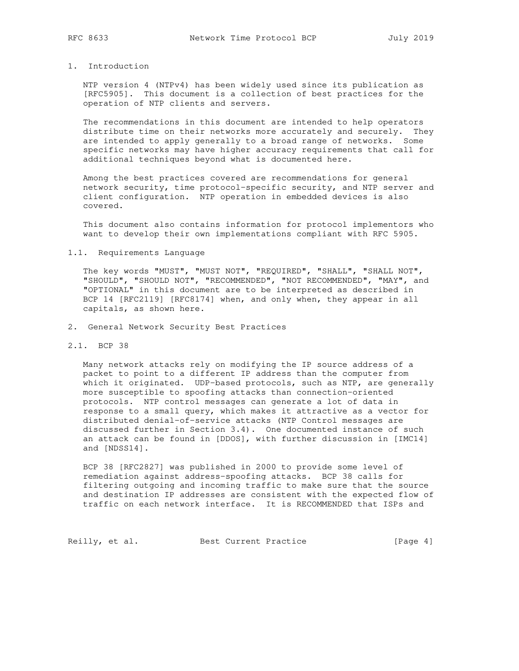# 1. Introduction

 NTP version 4 (NTPv4) has been widely used since its publication as [RFC5905]. This document is a collection of best practices for the operation of NTP clients and servers.

 The recommendations in this document are intended to help operators distribute time on their networks more accurately and securely. They are intended to apply generally to a broad range of networks. Some specific networks may have higher accuracy requirements that call for additional techniques beyond what is documented here.

 Among the best practices covered are recommendations for general network security, time protocol-specific security, and NTP server and client configuration. NTP operation in embedded devices is also covered.

 This document also contains information for protocol implementors who want to develop their own implementations compliant with RFC 5905.

#### 1.1. Requirements Language

 The key words "MUST", "MUST NOT", "REQUIRED", "SHALL", "SHALL NOT", "SHOULD", "SHOULD NOT", "RECOMMENDED", "NOT RECOMMENDED", "MAY", and "OPTIONAL" in this document are to be interpreted as described in BCP 14 [RFC2119] [RFC8174] when, and only when, they appear in all capitals, as shown here.

- 2. General Network Security Best Practices
- 2.1. BCP 38

 Many network attacks rely on modifying the IP source address of a packet to point to a different IP address than the computer from which it originated. UDP-based protocols, such as NTP, are generally more susceptible to spoofing attacks than connection-oriented protocols. NTP control messages can generate a lot of data in response to a small query, which makes it attractive as a vector for distributed denial-of-service attacks (NTP Control messages are discussed further in Section 3.4). One documented instance of such an attack can be found in [DDOS], with further discussion in [IMC14] and [NDSS14].

 BCP 38 [RFC2827] was published in 2000 to provide some level of remediation against address-spoofing attacks. BCP 38 calls for filtering outgoing and incoming traffic to make sure that the source and destination IP addresses are consistent with the expected flow of traffic on each network interface. It is RECOMMENDED that ISPs and

Reilly, et al. Best Current Practice [Page 4]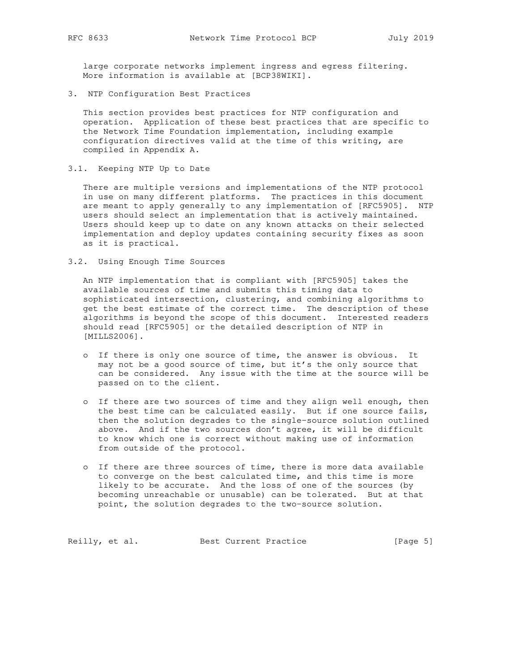large corporate networks implement ingress and egress filtering. More information is available at [BCP38WIKI].

3. NTP Configuration Best Practices

 This section provides best practices for NTP configuration and operation. Application of these best practices that are specific to the Network Time Foundation implementation, including example configuration directives valid at the time of this writing, are compiled in Appendix A.

3.1. Keeping NTP Up to Date

 There are multiple versions and implementations of the NTP protocol in use on many different platforms. The practices in this document are meant to apply generally to any implementation of [RFC5905]. NTP users should select an implementation that is actively maintained. Users should keep up to date on any known attacks on their selected implementation and deploy updates containing security fixes as soon as it is practical.

3.2. Using Enough Time Sources

 An NTP implementation that is compliant with [RFC5905] takes the available sources of time and submits this timing data to sophisticated intersection, clustering, and combining algorithms to get the best estimate of the correct time. The description of these algorithms is beyond the scope of this document. Interested readers should read [RFC5905] or the detailed description of NTP in [MILLS2006].

- o If there is only one source of time, the answer is obvious. It may not be a good source of time, but it's the only source that can be considered. Any issue with the time at the source will be passed on to the client.
- o If there are two sources of time and they align well enough, then the best time can be calculated easily. But if one source fails, then the solution degrades to the single-source solution outlined above. And if the two sources don't agree, it will be difficult to know which one is correct without making use of information from outside of the protocol.
- o If there are three sources of time, there is more data available to converge on the best calculated time, and this time is more likely to be accurate. And the loss of one of the sources (by becoming unreachable or unusable) can be tolerated. But at that point, the solution degrades to the two-source solution.

Reilly, et al. Best Current Practice [Page 5]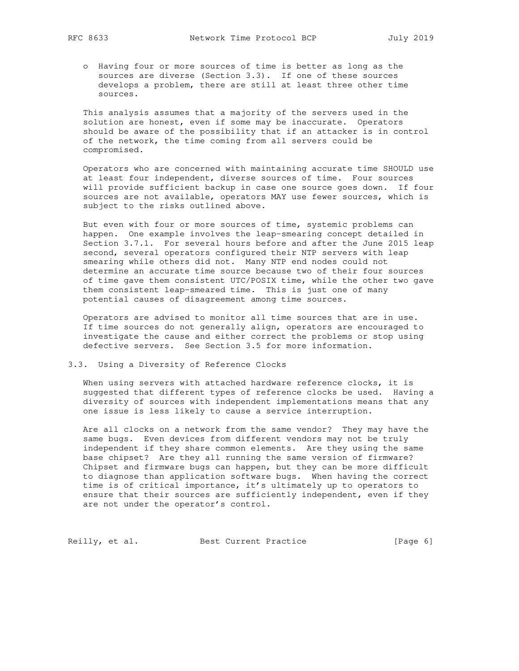o Having four or more sources of time is better as long as the sources are diverse (Section 3.3). If one of these sources develops a problem, there are still at least three other time sources.

 This analysis assumes that a majority of the servers used in the solution are honest, even if some may be inaccurate. Operators should be aware of the possibility that if an attacker is in control of the network, the time coming from all servers could be compromised.

 Operators who are concerned with maintaining accurate time SHOULD use at least four independent, diverse sources of time. Four sources will provide sufficient backup in case one source goes down. If four sources are not available, operators MAY use fewer sources, which is subject to the risks outlined above.

 But even with four or more sources of time, systemic problems can happen. One example involves the leap-smearing concept detailed in Section 3.7.1. For several hours before and after the June 2015 leap second, several operators configured their NTP servers with leap smearing while others did not. Many NTP end nodes could not determine an accurate time source because two of their four sources of time gave them consistent UTC/POSIX time, while the other two gave them consistent leap-smeared time. This is just one of many potential causes of disagreement among time sources.

 Operators are advised to monitor all time sources that are in use. If time sources do not generally align, operators are encouraged to investigate the cause and either correct the problems or stop using defective servers. See Section 3.5 for more information.

# 3.3. Using a Diversity of Reference Clocks

 When using servers with attached hardware reference clocks, it is suggested that different types of reference clocks be used. Having a diversity of sources with independent implementations means that any one issue is less likely to cause a service interruption.

 Are all clocks on a network from the same vendor? They may have the same bugs. Even devices from different vendors may not be truly independent if they share common elements. Are they using the same base chipset? Are they all running the same version of firmware? Chipset and firmware bugs can happen, but they can be more difficult to diagnose than application software bugs. When having the correct time is of critical importance, it's ultimately up to operators to ensure that their sources are sufficiently independent, even if they are not under the operator's control.

Reilly, et al. Best Current Practice [Page 6]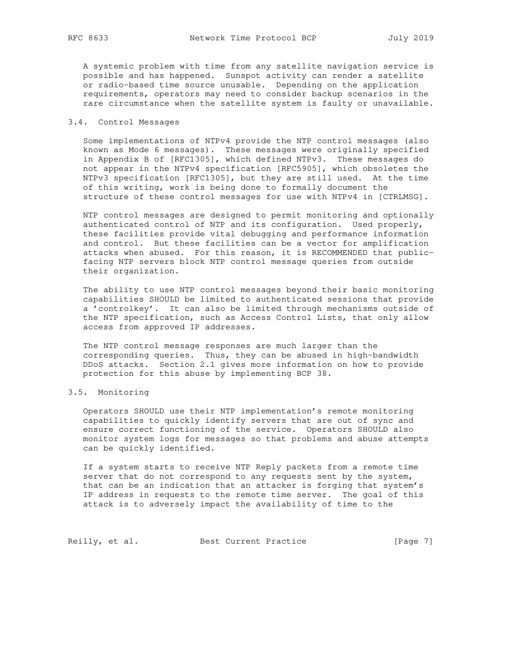A systemic problem with time from any satellite navigation service is possible and has happened. Sunspot activity can render a satellite or radio-based time source unusable. Depending on the application requirements, operators may need to consider backup scenarios in the rare circumstance when the satellite system is faulty or unavailable.

## 3.4. Control Messages

 Some implementations of NTPv4 provide the NTP control messages (also known as Mode 6 messages). These messages were originally specified in Appendix B of [RFC1305], which defined NTPv3. These messages do not appear in the NTPv4 specification [RFC5905], which obsoletes the NTPv3 specification [RFC1305], but they are still used. At the time of this writing, work is being done to formally document the structure of these control messages for use with NTPv4 in [CTRLMSG].

 NTP control messages are designed to permit monitoring and optionally authenticated control of NTP and its configuration. Used properly, these facilities provide vital debugging and performance information and control. But these facilities can be a vector for amplification attacks when abused. For this reason, it is RECOMMENDED that public facing NTP servers block NTP control message queries from outside their organization.

 The ability to use NTP control messages beyond their basic monitoring capabilities SHOULD be limited to authenticated sessions that provide a 'controlkey'. It can also be limited through mechanisms outside of the NTP specification, such as Access Control Lists, that only allow access from approved IP addresses.

 The NTP control message responses are much larger than the corresponding queries. Thus, they can be abused in high-bandwidth DDoS attacks. Section 2.1 gives more information on how to provide protection for this abuse by implementing BCP 38.

# 3.5. Monitoring

 Operators SHOULD use their NTP implementation's remote monitoring capabilities to quickly identify servers that are out of sync and ensure correct functioning of the service. Operators SHOULD also monitor system logs for messages so that problems and abuse attempts can be quickly identified.

 If a system starts to receive NTP Reply packets from a remote time server that do not correspond to any requests sent by the system, that can be an indication that an attacker is forging that system's IP address in requests to the remote time server. The goal of this attack is to adversely impact the availability of time to the

Reilly, et al. Best Current Practice [Page 7]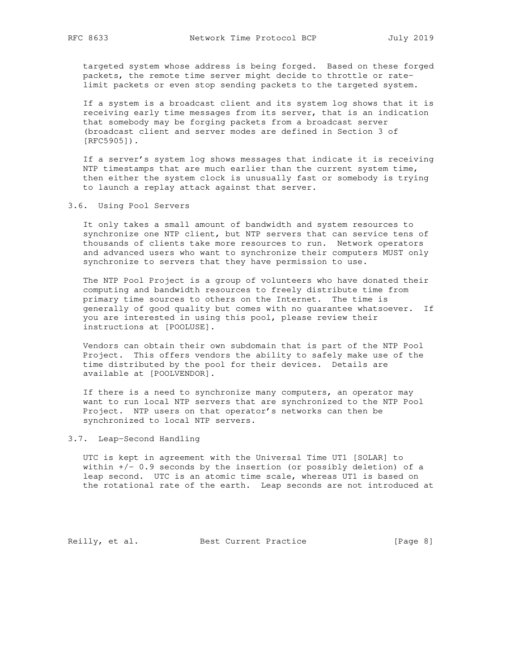targeted system whose address is being forged. Based on these forged packets, the remote time server might decide to throttle or rate limit packets or even stop sending packets to the targeted system.

 If a system is a broadcast client and its system log shows that it is receiving early time messages from its server, that is an indication that somebody may be forging packets from a broadcast server (broadcast client and server modes are defined in Section 3 of [RFC5905]).

 If a server's system log shows messages that indicate it is receiving NTP timestamps that are much earlier than the current system time, then either the system clock is unusually fast or somebody is trying to launch a replay attack against that server.

## 3.6. Using Pool Servers

 It only takes a small amount of bandwidth and system resources to synchronize one NTP client, but NTP servers that can service tens of thousands of clients take more resources to run. Network operators and advanced users who want to synchronize their computers MUST only synchronize to servers that they have permission to use.

 The NTP Pool Project is a group of volunteers who have donated their computing and bandwidth resources to freely distribute time from primary time sources to others on the Internet. The time is generally of good quality but comes with no guarantee whatsoever. If you are interested in using this pool, please review their instructions at [POOLUSE].

 Vendors can obtain their own subdomain that is part of the NTP Pool Project. This offers vendors the ability to safely make use of the time distributed by the pool for their devices. Details are available at [POOLVENDOR].

 If there is a need to synchronize many computers, an operator may want to run local NTP servers that are synchronized to the NTP Pool Project. NTP users on that operator's networks can then be synchronized to local NTP servers.

## 3.7. Leap-Second Handling

 UTC is kept in agreement with the Universal Time UT1 [SOLAR] to within  $+/-$  0.9 seconds by the insertion (or possibly deletion) of a leap second. UTC is an atomic time scale, whereas UT1 is based on the rotational rate of the earth. Leap seconds are not introduced at

Reilly, et al. Best Current Practice [Page 8]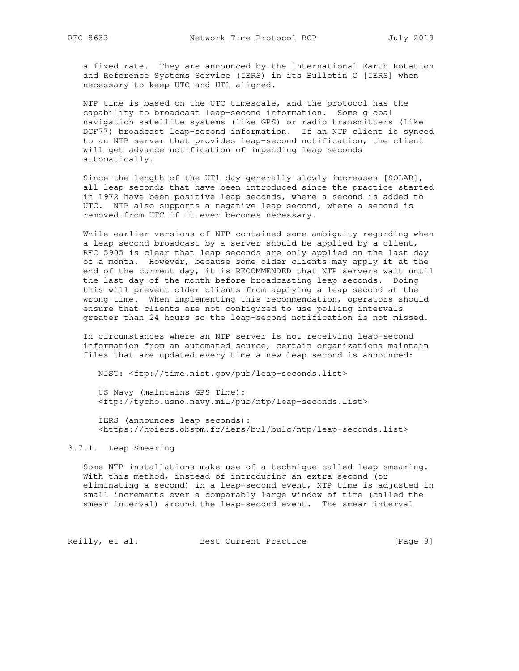a fixed rate. They are announced by the International Earth Rotation and Reference Systems Service (IERS) in its Bulletin C [IERS] when necessary to keep UTC and UT1 aligned.

 NTP time is based on the UTC timescale, and the protocol has the capability to broadcast leap-second information. Some global navigation satellite systems (like GPS) or radio transmitters (like DCF77) broadcast leap-second information. If an NTP client is synced to an NTP server that provides leap-second notification, the client will get advance notification of impending leap seconds automatically.

 Since the length of the UT1 day generally slowly increases [SOLAR], all leap seconds that have been introduced since the practice started in 1972 have been positive leap seconds, where a second is added to UTC. NTP also supports a negative leap second, where a second is removed from UTC if it ever becomes necessary.

 While earlier versions of NTP contained some ambiguity regarding when a leap second broadcast by a server should be applied by a client, RFC 5905 is clear that leap seconds are only applied on the last day of a month. However, because some older clients may apply it at the end of the current day, it is RECOMMENDED that NTP servers wait until the last day of the month before broadcasting leap seconds. Doing this will prevent older clients from applying a leap second at the wrong time. When implementing this recommendation, operators should ensure that clients are not configured to use polling intervals greater than 24 hours so the leap-second notification is not missed.

 In circumstances where an NTP server is not receiving leap-second information from an automated source, certain organizations maintain files that are updated every time a new leap second is announced:

NIST: <ftp://time.nist.gov/pub/leap-seconds.list>

 US Navy (maintains GPS Time): <ftp://tycho.usno.navy.mil/pub/ntp/leap-seconds.list>

 IERS (announces leap seconds): <https://hpiers.obspm.fr/iers/bul/bulc/ntp/leap-seconds.list>

# 3.7.1. Leap Smearing

 Some NTP installations make use of a technique called leap smearing. With this method, instead of introducing an extra second (or eliminating a second) in a leap-second event, NTP time is adjusted in small increments over a comparably large window of time (called the smear interval) around the leap-second event. The smear interval

Reilly, et al. Best Current Practice [Page 9]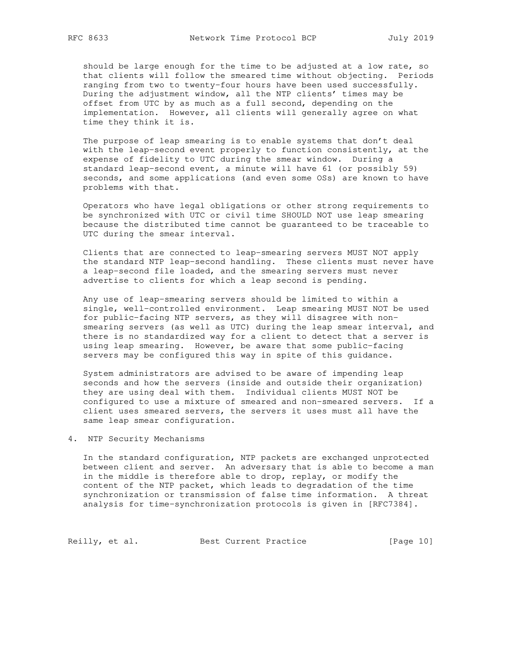should be large enough for the time to be adjusted at a low rate, so that clients will follow the smeared time without objecting. Periods ranging from two to twenty-four hours have been used successfully. During the adjustment window, all the NTP clients' times may be offset from UTC by as much as a full second, depending on the implementation. However, all clients will generally agree on what time they think it is.

 The purpose of leap smearing is to enable systems that don't deal with the leap-second event properly to function consistently, at the expense of fidelity to UTC during the smear window. During a standard leap-second event, a minute will have 61 (or possibly 59) seconds, and some applications (and even some OSs) are known to have problems with that.

 Operators who have legal obligations or other strong requirements to be synchronized with UTC or civil time SHOULD NOT use leap smearing because the distributed time cannot be guaranteed to be traceable to UTC during the smear interval.

 Clients that are connected to leap-smearing servers MUST NOT apply the standard NTP leap-second handling. These clients must never have a leap-second file loaded, and the smearing servers must never advertise to clients for which a leap second is pending.

 Any use of leap-smearing servers should be limited to within a single, well-controlled environment. Leap smearing MUST NOT be used for public-facing NTP servers, as they will disagree with non smearing servers (as well as UTC) during the leap smear interval, and there is no standardized way for a client to detect that a server is using leap smearing. However, be aware that some public-facing servers may be configured this way in spite of this guidance.

 System administrators are advised to be aware of impending leap seconds and how the servers (inside and outside their organization) they are using deal with them. Individual clients MUST NOT be configured to use a mixture of smeared and non-smeared servers. If a client uses smeared servers, the servers it uses must all have the same leap smear configuration.

4. NTP Security Mechanisms

 In the standard configuration, NTP packets are exchanged unprotected between client and server. An adversary that is able to become a man in the middle is therefore able to drop, replay, or modify the content of the NTP packet, which leads to degradation of the time synchronization or transmission of false time information. A threat analysis for time-synchronization protocols is given in [RFC7384].

Reilly, et al. Best Current Practice [Page 10]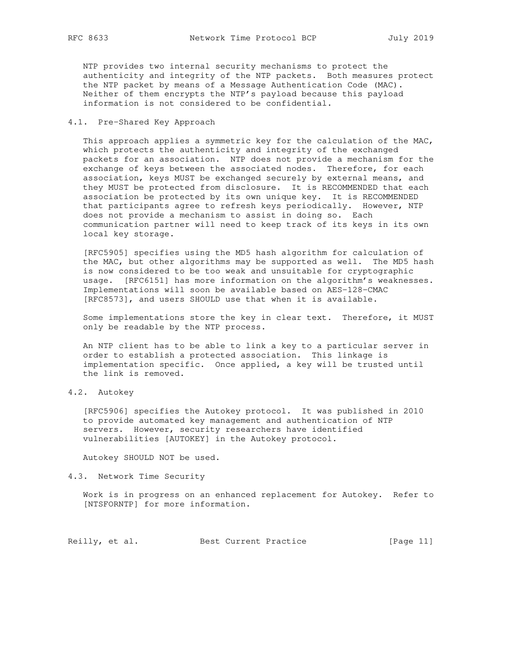NTP provides two internal security mechanisms to protect the authenticity and integrity of the NTP packets. Both measures protect the NTP packet by means of a Message Authentication Code (MAC). Neither of them encrypts the NTP's payload because this payload information is not considered to be confidential.

# 4.1. Pre-Shared Key Approach

 This approach applies a symmetric key for the calculation of the MAC, which protects the authenticity and integrity of the exchanged packets for an association. NTP does not provide a mechanism for the exchange of keys between the associated nodes. Therefore, for each association, keys MUST be exchanged securely by external means, and they MUST be protected from disclosure. It is RECOMMENDED that each association be protected by its own unique key. It is RECOMMENDED that participants agree to refresh keys periodically. However, NTP does not provide a mechanism to assist in doing so. Each communication partner will need to keep track of its keys in its own local key storage.

 [RFC5905] specifies using the MD5 hash algorithm for calculation of the MAC, but other algorithms may be supported as well. The MD5 hash is now considered to be too weak and unsuitable for cryptographic usage. [RFC6151] has more information on the algorithm's weaknesses. Implementations will soon be available based on AES-128-CMAC [RFC8573], and users SHOULD use that when it is available.

 Some implementations store the key in clear text. Therefore, it MUST only be readable by the NTP process.

 An NTP client has to be able to link a key to a particular server in order to establish a protected association. This linkage is implementation specific. Once applied, a key will be trusted until the link is removed.

4.2. Autokey

 [RFC5906] specifies the Autokey protocol. It was published in 2010 to provide automated key management and authentication of NTP servers. However, security researchers have identified vulnerabilities [AUTOKEY] in the Autokey protocol.

Autokey SHOULD NOT be used.

4.3. Network Time Security

 Work is in progress on an enhanced replacement for Autokey. Refer to [NTSFORNTP] for more information.

Reilly, et al. Best Current Practice [Page 11]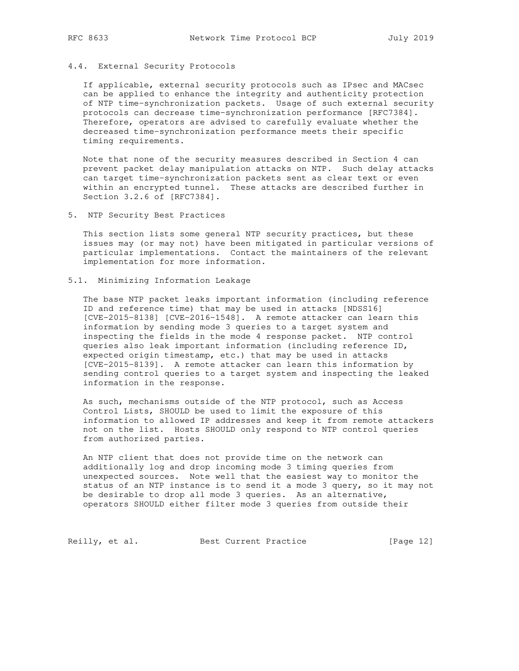# 4.4. External Security Protocols

 If applicable, external security protocols such as IPsec and MACsec can be applied to enhance the integrity and authenticity protection of NTP time-synchronization packets. Usage of such external security protocols can decrease time-synchronization performance [RFC7384]. Therefore, operators are advised to carefully evaluate whether the decreased time-synchronization performance meets their specific timing requirements.

 Note that none of the security measures described in Section 4 can prevent packet delay manipulation attacks on NTP. Such delay attacks can target time-synchronization packets sent as clear text or even within an encrypted tunnel. These attacks are described further in Section 3.2.6 of [RFC7384].

5. NTP Security Best Practices

 This section lists some general NTP security practices, but these issues may (or may not) have been mitigated in particular versions of particular implementations. Contact the maintainers of the relevant implementation for more information.

5.1. Minimizing Information Leakage

 The base NTP packet leaks important information (including reference ID and reference time) that may be used in attacks [NDSS16] [CVE-2015-8138] [CVE-2016-1548]. A remote attacker can learn this information by sending mode 3 queries to a target system and inspecting the fields in the mode 4 response packet. NTP control queries also leak important information (including reference ID, expected origin timestamp, etc.) that may be used in attacks [CVE-2015-8139]. A remote attacker can learn this information by sending control queries to a target system and inspecting the leaked information in the response.

 As such, mechanisms outside of the NTP protocol, such as Access Control Lists, SHOULD be used to limit the exposure of this information to allowed IP addresses and keep it from remote attackers not on the list. Hosts SHOULD only respond to NTP control queries from authorized parties.

 An NTP client that does not provide time on the network can additionally log and drop incoming mode 3 timing queries from unexpected sources. Note well that the easiest way to monitor the status of an NTP instance is to send it a mode 3 query, so it may not be desirable to drop all mode 3 queries. As an alternative, operators SHOULD either filter mode 3 queries from outside their

Reilly, et al. Best Current Practice [Page 12]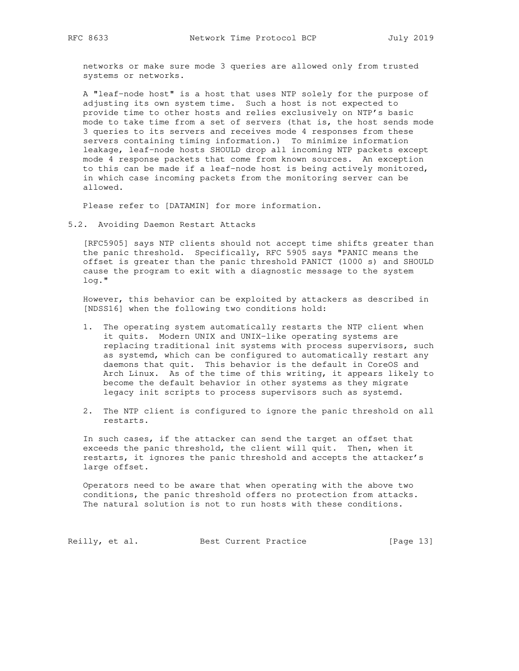networks or make sure mode 3 queries are allowed only from trusted systems or networks.

 A "leaf-node host" is a host that uses NTP solely for the purpose of adjusting its own system time. Such a host is not expected to provide time to other hosts and relies exclusively on NTP's basic mode to take time from a set of servers (that is, the host sends mode 3 queries to its servers and receives mode 4 responses from these servers containing timing information.) To minimize information leakage, leaf-node hosts SHOULD drop all incoming NTP packets except mode 4 response packets that come from known sources. An exception to this can be made if a leaf-node host is being actively monitored, in which case incoming packets from the monitoring server can be allowed.

Please refer to [DATAMIN] for more information.

5.2. Avoiding Daemon Restart Attacks

 [RFC5905] says NTP clients should not accept time shifts greater than the panic threshold. Specifically, RFC 5905 says "PANIC means the offset is greater than the panic threshold PANICT (1000 s) and SHOULD cause the program to exit with a diagnostic message to the system log."

 However, this behavior can be exploited by attackers as described in [NDSS16] when the following two conditions hold:

- 1. The operating system automatically restarts the NTP client when it quits. Modern UNIX and UNIX-like operating systems are replacing traditional init systems with process supervisors, such as systemd, which can be configured to automatically restart any daemons that quit. This behavior is the default in CoreOS and Arch Linux. As of the time of this writing, it appears likely to become the default behavior in other systems as they migrate legacy init scripts to process supervisors such as systemd.
- 2. The NTP client is configured to ignore the panic threshold on all restarts.

 In such cases, if the attacker can send the target an offset that exceeds the panic threshold, the client will quit. Then, when it restarts, it ignores the panic threshold and accepts the attacker's large offset.

 Operators need to be aware that when operating with the above two conditions, the panic threshold offers no protection from attacks. The natural solution is not to run hosts with these conditions.

Reilly, et al. Best Current Practice [Page 13]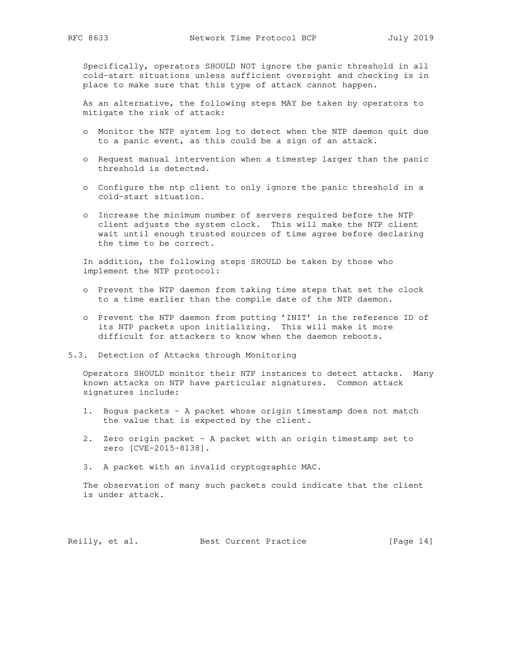Specifically, operators SHOULD NOT ignore the panic threshold in all cold-start situations unless sufficient oversight and checking is in place to make sure that this type of attack cannot happen.

 As an alternative, the following steps MAY be taken by operators to mitigate the risk of attack:

- o Monitor the NTP system log to detect when the NTP daemon quit due to a panic event, as this could be a sign of an attack.
- o Request manual intervention when a timestep larger than the panic threshold is detected.
- o Configure the ntp client to only ignore the panic threshold in a cold-start situation.
- o Increase the minimum number of servers required before the NTP client adjusts the system clock. This will make the NTP client wait until enough trusted sources of time agree before declaring the time to be correct.

 In addition, the following steps SHOULD be taken by those who implement the NTP protocol:

- o Prevent the NTP daemon from taking time steps that set the clock to a time earlier than the compile date of the NTP daemon.
- o Prevent the NTP daemon from putting 'INIT' in the reference ID of its NTP packets upon initializing. This will make it more difficult for attackers to know when the daemon reboots.
- 5.3. Detection of Attacks through Monitoring

 Operators SHOULD monitor their NTP instances to detect attacks. Many known attacks on NTP have particular signatures. Common attack signatures include:

- 1. Bogus packets A packet whose origin timestamp does not match the value that is expected by the client.
- 2. Zero origin packet A packet with an origin timestamp set to zero [CVE-2015-8138].
- 3. A packet with an invalid cryptographic MAC.

 The observation of many such packets could indicate that the client is under attack.

Reilly, et al. Best Current Practice [Page 14]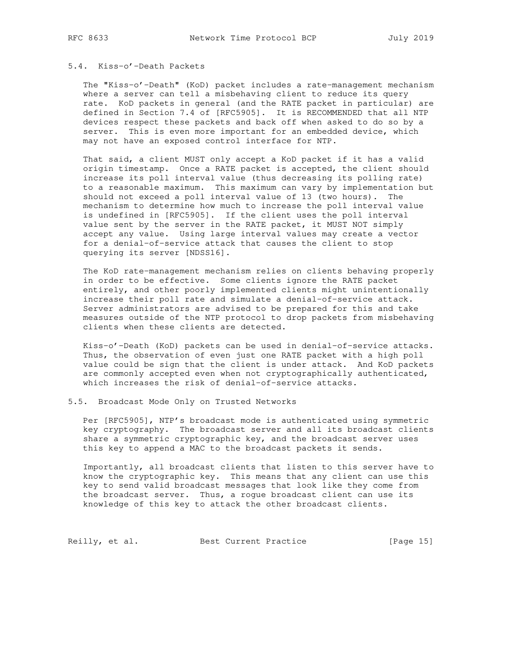# 5.4. Kiss-o'-Death Packets

 The "Kiss-o'-Death" (KoD) packet includes a rate-management mechanism where a server can tell a misbehaving client to reduce its query rate. KoD packets in general (and the RATE packet in particular) are defined in Section 7.4 of [RFC5905]. It is RECOMMENDED that all NTP devices respect these packets and back off when asked to do so by a server. This is even more important for an embedded device, which may not have an exposed control interface for NTP.

 That said, a client MUST only accept a KoD packet if it has a valid origin timestamp. Once a RATE packet is accepted, the client should increase its poll interval value (thus decreasing its polling rate) to a reasonable maximum. This maximum can vary by implementation but should not exceed a poll interval value of 13 (two hours). The mechanism to determine how much to increase the poll interval value is undefined in [RFC5905]. If the client uses the poll interval value sent by the server in the RATE packet, it MUST NOT simply accept any value. Using large interval values may create a vector for a denial-of-service attack that causes the client to stop querying its server [NDSS16].

 The KoD rate-management mechanism relies on clients behaving properly in order to be effective. Some clients ignore the RATE packet entirely, and other poorly implemented clients might unintentionally increase their poll rate and simulate a denial-of-service attack. Server administrators are advised to be prepared for this and take measures outside of the NTP protocol to drop packets from misbehaving clients when these clients are detected.

 Kiss-o'-Death (KoD) packets can be used in denial-of-service attacks. Thus, the observation of even just one RATE packet with a high poll value could be sign that the client is under attack. And KoD packets are commonly accepted even when not cryptographically authenticated, which increases the risk of denial-of-service attacks.

## 5.5. Broadcast Mode Only on Trusted Networks

 Per [RFC5905], NTP's broadcast mode is authenticated using symmetric key cryptography. The broadcast server and all its broadcast clients share a symmetric cryptographic key, and the broadcast server uses this key to append a MAC to the broadcast packets it sends.

 Importantly, all broadcast clients that listen to this server have to know the cryptographic key. This means that any client can use this key to send valid broadcast messages that look like they come from the broadcast server. Thus, a rogue broadcast client can use its knowledge of this key to attack the other broadcast clients.

Reilly, et al. Best Current Practice [Page 15]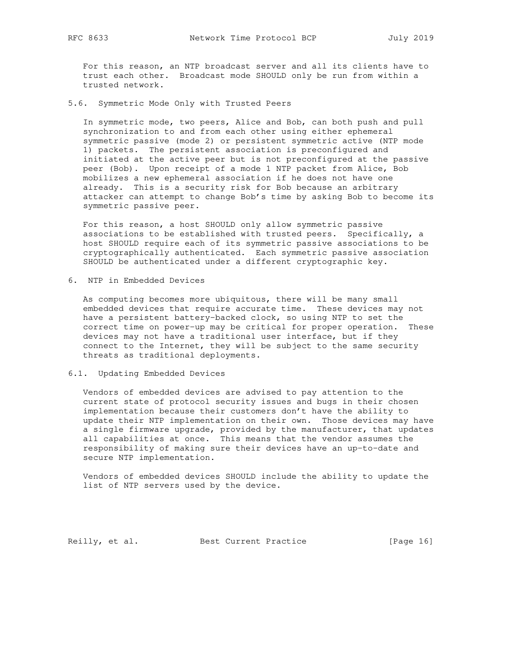For this reason, an NTP broadcast server and all its clients have to trust each other. Broadcast mode SHOULD only be run from within a trusted network.

5.6. Symmetric Mode Only with Trusted Peers

 In symmetric mode, two peers, Alice and Bob, can both push and pull synchronization to and from each other using either ephemeral symmetric passive (mode 2) or persistent symmetric active (NTP mode 1) packets. The persistent association is preconfigured and initiated at the active peer but is not preconfigured at the passive peer (Bob). Upon receipt of a mode 1 NTP packet from Alice, Bob mobilizes a new ephemeral association if he does not have one already. This is a security risk for Bob because an arbitrary attacker can attempt to change Bob's time by asking Bob to become its symmetric passive peer.

 For this reason, a host SHOULD only allow symmetric passive associations to be established with trusted peers. Specifically, a host SHOULD require each of its symmetric passive associations to be cryptographically authenticated. Each symmetric passive association SHOULD be authenticated under a different cryptographic key.

6. NTP in Embedded Devices

 As computing becomes more ubiquitous, there will be many small embedded devices that require accurate time. These devices may not have a persistent battery-backed clock, so using NTP to set the correct time on power-up may be critical for proper operation. These devices may not have a traditional user interface, but if they connect to the Internet, they will be subject to the same security threats as traditional deployments.

#### 6.1. Updating Embedded Devices

 Vendors of embedded devices are advised to pay attention to the current state of protocol security issues and bugs in their chosen implementation because their customers don't have the ability to update their NTP implementation on their own. Those devices may have a single firmware upgrade, provided by the manufacturer, that updates all capabilities at once. This means that the vendor assumes the responsibility of making sure their devices have an up-to-date and secure NTP implementation.

 Vendors of embedded devices SHOULD include the ability to update the list of NTP servers used by the device.

Reilly, et al. Best Current Practice [Page 16]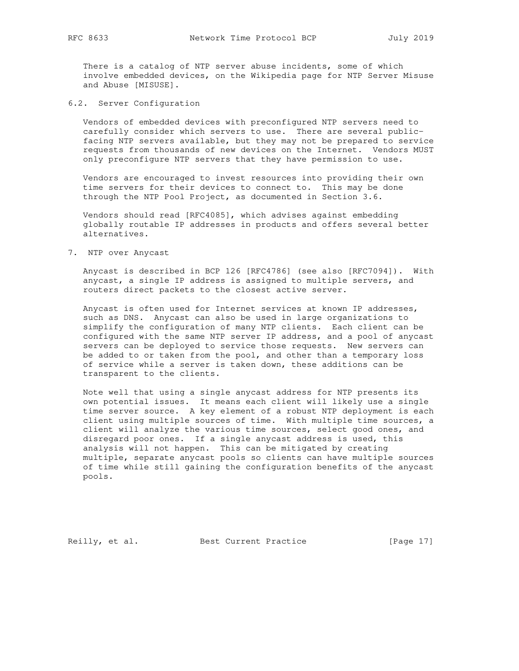There is a catalog of NTP server abuse incidents, some of which involve embedded devices, on the Wikipedia page for NTP Server Misuse and Abuse [MISUSE].

6.2. Server Configuration

 Vendors of embedded devices with preconfigured NTP servers need to carefully consider which servers to use. There are several public facing NTP servers available, but they may not be prepared to service requests from thousands of new devices on the Internet. Vendors MUST only preconfigure NTP servers that they have permission to use.

 Vendors are encouraged to invest resources into providing their own time servers for their devices to connect to. This may be done through the NTP Pool Project, as documented in Section 3.6.

 Vendors should read [RFC4085], which advises against embedding globally routable IP addresses in products and offers several better alternatives.

7. NTP over Anycast

 Anycast is described in BCP 126 [RFC4786] (see also [RFC7094]). With anycast, a single IP address is assigned to multiple servers, and routers direct packets to the closest active server.

 Anycast is often used for Internet services at known IP addresses, such as DNS. Anycast can also be used in large organizations to simplify the configuration of many NTP clients. Each client can be configured with the same NTP server IP address, and a pool of anycast servers can be deployed to service those requests. New servers can be added to or taken from the pool, and other than a temporary loss of service while a server is taken down, these additions can be transparent to the clients.

 Note well that using a single anycast address for NTP presents its own potential issues. It means each client will likely use a single time server source. A key element of a robust NTP deployment is each client using multiple sources of time. With multiple time sources, a client will analyze the various time sources, select good ones, and disregard poor ones. If a single anycast address is used, this analysis will not happen. This can be mitigated by creating multiple, separate anycast pools so clients can have multiple sources of time while still gaining the configuration benefits of the anycast pools.

Reilly, et al. Best Current Practice [Page 17]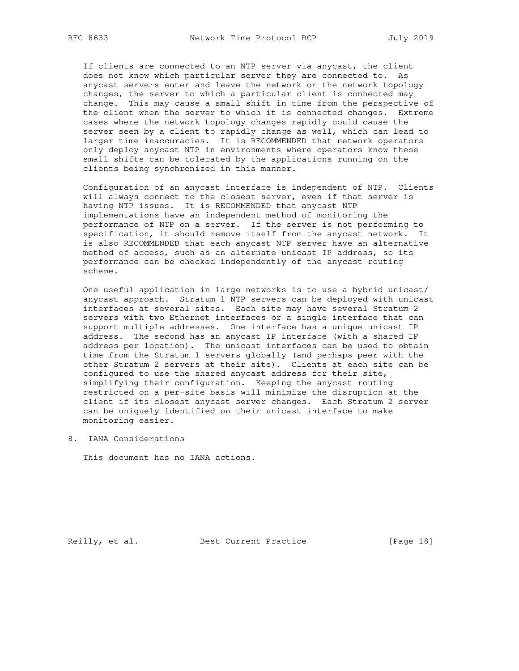If clients are connected to an NTP server via anycast, the client does not know which particular server they are connected to. As anycast servers enter and leave the network or the network topology changes, the server to which a particular client is connected may change. This may cause a small shift in time from the perspective of the client when the server to which it is connected changes. Extreme cases where the network topology changes rapidly could cause the server seen by a client to rapidly change as well, which can lead to larger time inaccuracies. It is RECOMMENDED that network operators only deploy anycast NTP in environments where operators know these small shifts can be tolerated by the applications running on the clients being synchronized in this manner.

 Configuration of an anycast interface is independent of NTP. Clients will always connect to the closest server, even if that server is having NTP issues. It is RECOMMENDED that anycast NTP implementations have an independent method of monitoring the performance of NTP on a server. If the server is not performing to specification, it should remove itself from the anycast network. It is also RECOMMENDED that each anycast NTP server have an alternative method of access, such as an alternate unicast IP address, so its performance can be checked independently of the anycast routing scheme.

 One useful application in large networks is to use a hybrid unicast/ anycast approach. Stratum 1 NTP servers can be deployed with unicast interfaces at several sites. Each site may have several Stratum 2 servers with two Ethernet interfaces or a single interface that can support multiple addresses. One interface has a unique unicast IP address. The second has an anycast IP interface (with a shared IP address per location). The unicast interfaces can be used to obtain time from the Stratum 1 servers globally (and perhaps peer with the other Stratum 2 servers at their site). Clients at each site can be configured to use the shared anycast address for their site, simplifying their configuration. Keeping the anycast routing restricted on a per-site basis will minimize the disruption at the client if its closest anycast server changes. Each Stratum 2 server can be uniquely identified on their unicast interface to make monitoring easier.

8. IANA Considerations

This document has no IANA actions.

Reilly, et al. Best Current Practice [Page 18]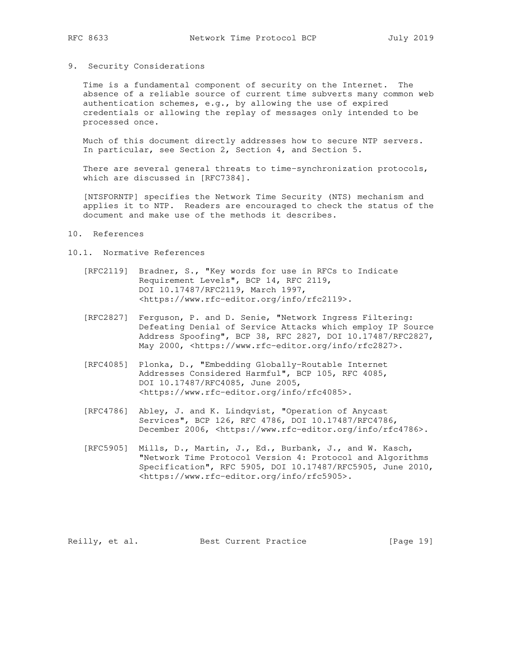## 9. Security Considerations

 Time is a fundamental component of security on the Internet. The absence of a reliable source of current time subverts many common web authentication schemes, e.g., by allowing the use of expired credentials or allowing the replay of messages only intended to be processed once.

 Much of this document directly addresses how to secure NTP servers. In particular, see Section 2, Section 4, and Section 5.

 There are several general threats to time-synchronization protocols, which are discussed in [RFC7384].

 [NTSFORNTP] specifies the Network Time Security (NTS) mechanism and applies it to NTP. Readers are encouraged to check the status of the document and make use of the methods it describes.

## 10. References

#### 10.1. Normative References

- [RFC2119] Bradner, S., "Key words for use in RFCs to Indicate Requirement Levels", BCP 14, RFC 2119, DOI 10.17487/RFC2119, March 1997, <https://www.rfc-editor.org/info/rfc2119>.
- [RFC2827] Ferguson, P. and D. Senie, "Network Ingress Filtering: Defeating Denial of Service Attacks which employ IP Source Address Spoofing", BCP 38, RFC 2827, DOI 10.17487/RFC2827, May 2000, <https://www.rfc-editor.org/info/rfc2827>.
- [RFC4085] Plonka, D., "Embedding Globally-Routable Internet Addresses Considered Harmful", BCP 105, RFC 4085, DOI 10.17487/RFC4085, June 2005, <https://www.rfc-editor.org/info/rfc4085>.
- [RFC4786] Abley, J. and K. Lindqvist, "Operation of Anycast Services", BCP 126, RFC 4786, DOI 10.17487/RFC4786, December 2006, <https://www.rfc-editor.org/info/rfc4786>.
- [RFC5905] Mills, D., Martin, J., Ed., Burbank, J., and W. Kasch, "Network Time Protocol Version 4: Protocol and Algorithms Specification", RFC 5905, DOI 10.17487/RFC5905, June 2010, <https://www.rfc-editor.org/info/rfc5905>.

Reilly, et al. Best Current Practice [Page 19]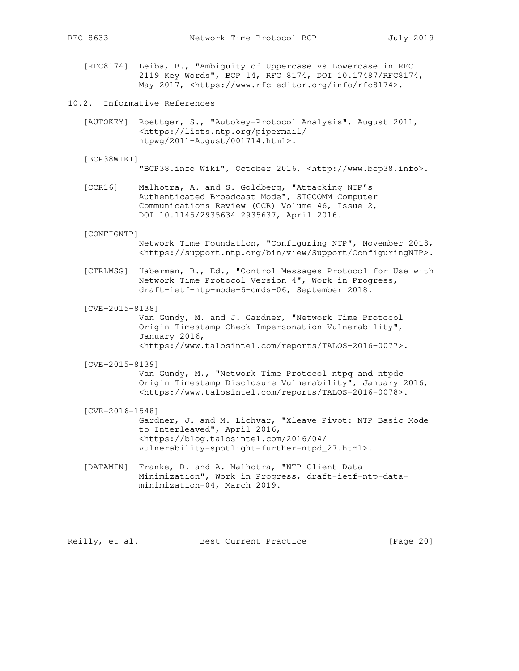- - [RFC8174] Leiba, B., "Ambiguity of Uppercase vs Lowercase in RFC 2119 Key Words", BCP 14, RFC 8174, DOI 10.17487/RFC8174, May 2017, <https://www.rfc-editor.org/info/rfc8174>.
- 10.2. Informative References
	- [AUTOKEY] Roettger, S., "Autokey-Protocol Analysis", August 2011, <https://lists.ntp.org/pipermail/ ntpwg/2011-August/001714.html>.

[BCP38WIKI]

"BCP38.info Wiki", October 2016, <http://www.bcp38.info>.

 [CCR16] Malhotra, A. and S. Goldberg, "Attacking NTP's Authenticated Broadcast Mode", SIGCOMM Computer Communications Review (CCR) Volume 46, Issue 2, DOI 10.1145/2935634.2935637, April 2016.

#### [CONFIGNTP]

 Network Time Foundation, "Configuring NTP", November 2018, <https://support.ntp.org/bin/view/Support/ConfiguringNTP>.

- [CTRLMSG] Haberman, B., Ed., "Control Messages Protocol for Use with Network Time Protocol Version 4", Work in Progress, draft-ietf-ntp-mode-6-cmds-06, September 2018.
- [CVE-2015-8138]

 Van Gundy, M. and J. Gardner, "Network Time Protocol Origin Timestamp Check Impersonation Vulnerability", January 2016, <https://www.talosintel.com/reports/TALOS-2016-0077>.

[CVE-2015-8139]

 Van Gundy, M., "Network Time Protocol ntpq and ntpdc Origin Timestamp Disclosure Vulnerability", January 2016, <https://www.talosintel.com/reports/TALOS-2016-0078>.

#### [CVE-2016-1548]

 Gardner, J. and M. Lichvar, "Xleave Pivot: NTP Basic Mode to Interleaved", April 2016, <https://blog.talosintel.com/2016/04/ vulnerability-spotlight-further-ntpd\_27.html>.

 [DATAMIN] Franke, D. and A. Malhotra, "NTP Client Data Minimization", Work in Progress, draft-ietf-ntp-data minimization-04, March 2019.

Reilly, et al. Best Current Practice [Page 20]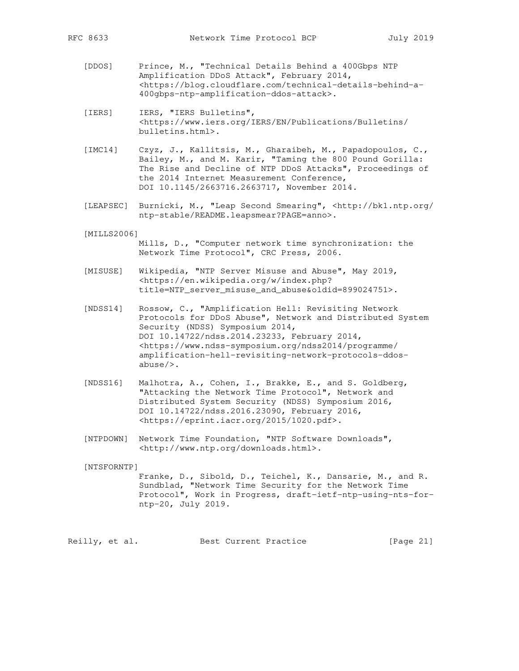- [DDOS] Prince, M., "Technical Details Behind a 400Gbps NTP Amplification DDoS Attack", February 2014, <https://blog.cloudflare.com/technical-details-behind-a- 400gbps-ntp-amplification-ddos-attack>.
- [IERS] IERS, "IERS Bulletins", <https://www.iers.org/IERS/EN/Publications/Bulletins/ bulletins.html>.
- [IMC14] Czyz, J., Kallitsis, M., Gharaibeh, M., Papadopoulos, C., Bailey, M., and M. Karir, "Taming the 800 Pound Gorilla: The Rise and Decline of NTP DDoS Attacks", Proceedings of the 2014 Internet Measurement Conference, DOI 10.1145/2663716.2663717, November 2014.
- [LEAPSEC] Burnicki, M., "Leap Second Smearing", <http://bk1.ntp.org/ ntp-stable/README.leapsmear?PAGE=anno>.

#### [MILLS2006]

- Mills, D., "Computer network time synchronization: the Network Time Protocol", CRC Press, 2006.
- [MISUSE] Wikipedia, "NTP Server Misuse and Abuse", May 2019, <https://en.wikipedia.org/w/index.php? title=NTP\_server\_misuse\_and\_abuse&oldid=899024751>.
- [NDSS14] Rossow, C., "Amplification Hell: Revisiting Network Protocols for DDoS Abuse", Network and Distributed System Security (NDSS) Symposium 2014, DOI 10.14722/ndss.2014.23233, February 2014, <https://www.ndss-symposium.org/ndss2014/programme/ amplification-hell-revisiting-network-protocols-ddos abuse/>.
- [NDSS16] Malhotra, A., Cohen, I., Brakke, E., and S. Goldberg, "Attacking the Network Time Protocol", Network and Distributed System Security (NDSS) Symposium 2016, DOI 10.14722/ndss.2016.23090, February 2016, <https://eprint.iacr.org/2015/1020.pdf>.
- [NTPDOWN] Network Time Foundation, "NTP Software Downloads", <http://www.ntp.org/downloads.html>.

[NTSFORNTP]

 Franke, D., Sibold, D., Teichel, K., Dansarie, M., and R. Sundblad, "Network Time Security for the Network Time Protocol", Work in Progress, draft-ietf-ntp-using-nts-for ntp-20, July 2019.

Reilly, et al. Best Current Practice [Page 21]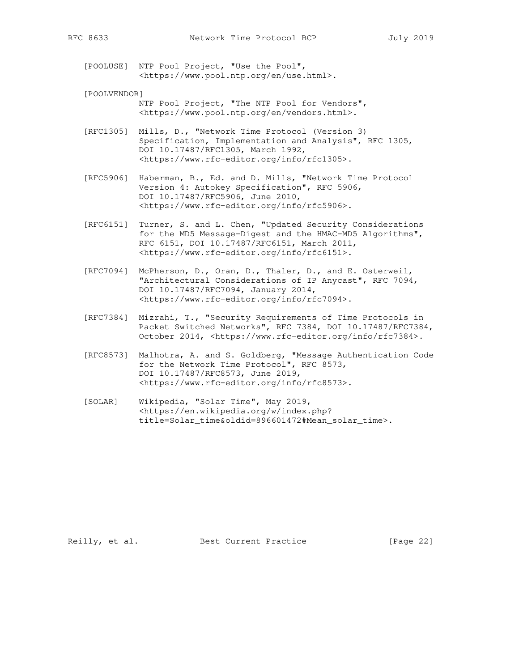[POOLUSE] NTP Pool Project, "Use the Pool", <https://www.pool.ntp.org/en/use.html>.

 [POOLVENDOR] NTP Pool Project, "The NTP Pool for Vendors", <https://www.pool.ntp.org/en/vendors.html>.

 [RFC1305] Mills, D., "Network Time Protocol (Version 3) Specification, Implementation and Analysis", RFC 1305, DOI 10.17487/RFC1305, March 1992, <https://www.rfc-editor.org/info/rfc1305>.

 [RFC5906] Haberman, B., Ed. and D. Mills, "Network Time Protocol Version 4: Autokey Specification", RFC 5906, DOI 10.17487/RFC5906, June 2010, <https://www.rfc-editor.org/info/rfc5906>.

- [RFC6151] Turner, S. and L. Chen, "Updated Security Considerations for the MD5 Message-Digest and the HMAC-MD5 Algorithms", RFC 6151, DOI 10.17487/RFC6151, March 2011, <https://www.rfc-editor.org/info/rfc6151>.
- [RFC7094] McPherson, D., Oran, D., Thaler, D., and E. Osterweil, "Architectural Considerations of IP Anycast", RFC 7094, DOI 10.17487/RFC7094, January 2014, <https://www.rfc-editor.org/info/rfc7094>.
- [RFC7384] Mizrahi, T., "Security Requirements of Time Protocols in Packet Switched Networks", RFC 7384, DOI 10.17487/RFC7384, October 2014, <https://www.rfc-editor.org/info/rfc7384>.
- [RFC8573] Malhotra, A. and S. Goldberg, "Message Authentication Code for the Network Time Protocol", RFC 8573, DOI 10.17487/RFC8573, June 2019, <https://www.rfc-editor.org/info/rfc8573>.
- [SOLAR] Wikipedia, "Solar Time", May 2019, <https://en.wikipedia.org/w/index.php? title=Solar\_time&oldid=896601472#Mean\_solar\_time>.

Reilly, et al. Best Current Practice [Page 22]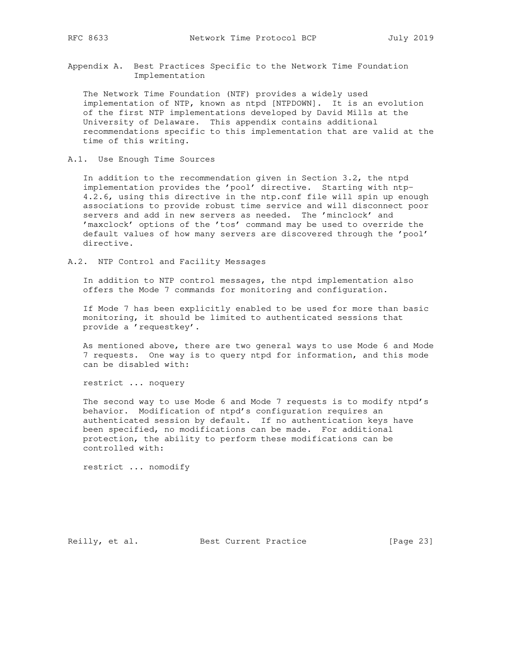Appendix A. Best Practices Specific to the Network Time Foundation Implementation

 The Network Time Foundation (NTF) provides a widely used implementation of NTP, known as ntpd [NTPDOWN]. It is an evolution of the first NTP implementations developed by David Mills at the University of Delaware. This appendix contains additional recommendations specific to this implementation that are valid at the time of this writing.

A.1. Use Enough Time Sources

 In addition to the recommendation given in Section 3.2, the ntpd implementation provides the 'pool' directive. Starting with ntp- 4.2.6, using this directive in the ntp.conf file will spin up enough associations to provide robust time service and will disconnect poor servers and add in new servers as needed. The 'minclock' and 'maxclock' options of the 'tos' command may be used to override the default values of how many servers are discovered through the 'pool' directive.

A.2. NTP Control and Facility Messages

 In addition to NTP control messages, the ntpd implementation also offers the Mode 7 commands for monitoring and configuration.

 If Mode 7 has been explicitly enabled to be used for more than basic monitoring, it should be limited to authenticated sessions that provide a 'requestkey'.

 As mentioned above, there are two general ways to use Mode 6 and Mode 7 requests. One way is to query ntpd for information, and this mode can be disabled with:

restrict ... noquery

 The second way to use Mode 6 and Mode 7 requests is to modify ntpd's behavior. Modification of ntpd's configuration requires an authenticated session by default. If no authentication keys have been specified, no modifications can be made. For additional protection, the ability to perform these modifications can be controlled with:

restrict ... nomodify

Reilly, et al. Best Current Practice [Page 23]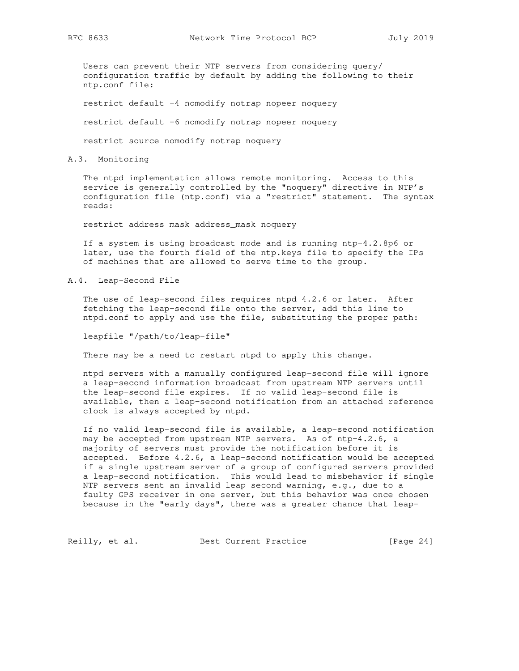Users can prevent their NTP servers from considering query/ configuration traffic by default by adding the following to their ntp.conf file:

restrict default -4 nomodify notrap nopeer noquery

restrict default -6 nomodify notrap nopeer noquery

restrict source nomodify notrap noquery

### A.3. Monitoring

 The ntpd implementation allows remote monitoring. Access to this service is generally controlled by the "noquery" directive in NTP's configuration file (ntp.conf) via a "restrict" statement. The syntax reads:

restrict address mask address\_mask noquery

 If a system is using broadcast mode and is running ntp-4.2.8p6 or later, use the fourth field of the ntp.keys file to specify the IPs of machines that are allowed to serve time to the group.

A.4. Leap-Second File

 The use of leap-second files requires ntpd 4.2.6 or later. After fetching the leap-second file onto the server, add this line to ntpd.conf to apply and use the file, substituting the proper path:

leapfile "/path/to/leap-file"

There may be a need to restart ntpd to apply this change.

 ntpd servers with a manually configured leap-second file will ignore a leap-second information broadcast from upstream NTP servers until the leap-second file expires. If no valid leap-second file is available, then a leap-second notification from an attached reference clock is always accepted by ntpd.

 If no valid leap-second file is available, a leap-second notification may be accepted from upstream NTP servers. As of ntp-4.2.6, a majority of servers must provide the notification before it is accepted. Before 4.2.6, a leap-second notification would be accepted if a single upstream server of a group of configured servers provided a leap-second notification. This would lead to misbehavior if single NTP servers sent an invalid leap second warning, e.g., due to a faulty GPS receiver in one server, but this behavior was once chosen because in the "early days", there was a greater chance that leap-

Reilly, et al. Best Current Practice [Page 24]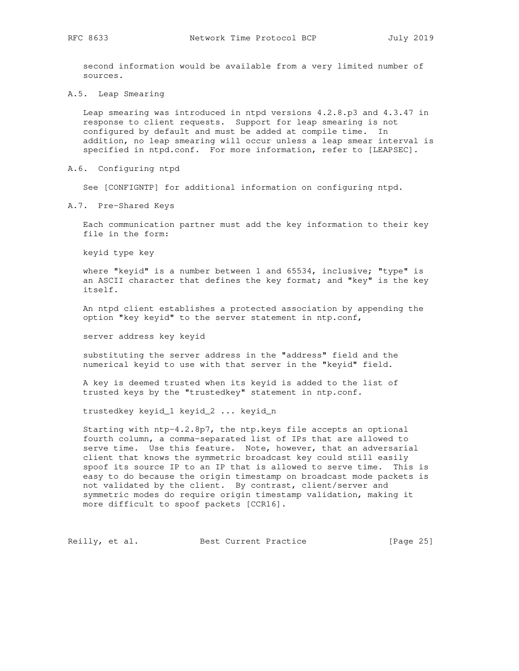second information would be available from a very limited number of sources.

A.5. Leap Smearing

 Leap smearing was introduced in ntpd versions 4.2.8.p3 and 4.3.47 in response to client requests. Support for leap smearing is not configured by default and must be added at compile time. In addition, no leap smearing will occur unless a leap smear interval is specified in ntpd.conf. For more information, refer to [LEAPSEC].

A.6. Configuring ntpd

See [CONFIGNTP] for additional information on configuring ntpd.

A.7. Pre-Shared Keys

 Each communication partner must add the key information to their key file in the form:

keyid type key

 where "keyid" is a number between 1 and 65534, inclusive; "type" is an ASCII character that defines the key format; and "key" is the key itself.

 An ntpd client establishes a protected association by appending the option "key keyid" to the server statement in ntp.conf,

server address key keyid

 substituting the server address in the "address" field and the numerical keyid to use with that server in the "keyid" field.

 A key is deemed trusted when its keyid is added to the list of trusted keys by the "trustedkey" statement in ntp.conf.

trustedkey keyid\_1 keyid\_2 ... keyid\_n

 Starting with ntp-4.2.8p7, the ntp.keys file accepts an optional fourth column, a comma-separated list of IPs that are allowed to serve time. Use this feature. Note, however, that an adversarial client that knows the symmetric broadcast key could still easily spoof its source IP to an IP that is allowed to serve time. This is easy to do because the origin timestamp on broadcast mode packets is not validated by the client. By contrast, client/server and symmetric modes do require origin timestamp validation, making it more difficult to spoof packets [CCR16].

Reilly, et al. Best Current Practice [Page 25]